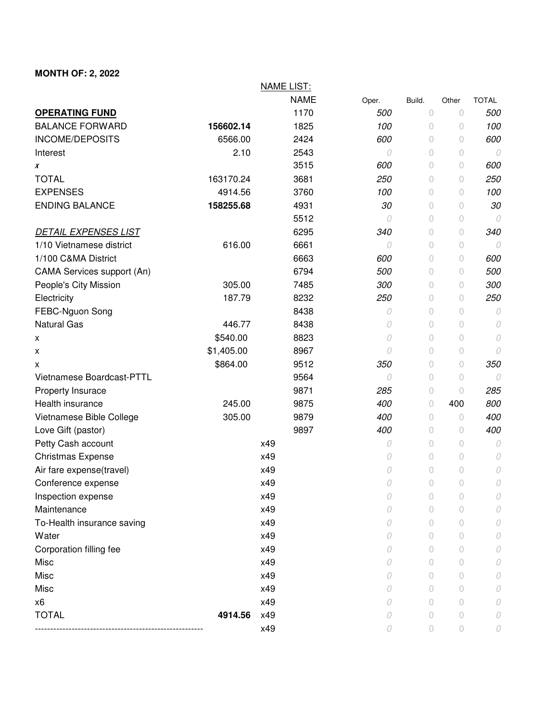## **MONTH OF: 2, 2022**

|                             |            | <b>NAME LIST:</b> |       |                |            |              |
|-----------------------------|------------|-------------------|-------|----------------|------------|--------------|
|                             |            | <b>NAME</b>       | Oper. | Build.         | Other      | <b>TOTAL</b> |
| <b>OPERATING FUND</b>       |            | 1170              | 500   | 0              | 0          | 500          |
| <b>BALANCE FORWARD</b>      | 156602.14  | 1825              | 100   | $\circ$        | 0          | 100          |
| INCOME/DEPOSITS             | 6566.00    | 2424              | 600   | $\circ$        | $\bigcirc$ | 600          |
| Interest                    | 2.10       | 2543              | 0     | $\circ$        | $\circ$    | 0            |
| X                           |            | 3515              | 600   | $\Omega$       | 0          | 600          |
| <b>TOTAL</b>                | 163170.24  | 3681              | 250   | 0              | 0          | 250          |
| <b>EXPENSES</b>             | 4914.56    | 3760              | 100   | $\circ$        | 0          | 100          |
| <b>ENDING BALANCE</b>       | 158255.68  | 4931              | 30    | $\circ$        | $\circ$    | 30           |
|                             |            | 5512              | 0     | $\circ$        | 0          | 0            |
| <b>DETAIL EXPENSES LIST</b> |            | 6295              | 340   | $\theta$       | $\bigcirc$ | 340          |
| 1/10 Vietnamese district    | 616.00     | 6661              | 0     | $\theta$       | 0          | 0            |
| 1/100 C&MA District         |            | 6663              | 600   | $\circ$        | 0          | 600          |
| CAMA Services support (An)  |            | 6794              | 500   | $\circ$        | 0          | 500          |
| People's City Mission       | 305.00     | 7485              | 300   | $\circ$        | 0          | 300          |
| Electricity                 | 187.79     | 8232              | 250   | $\overline{0}$ | $\bigcirc$ | 250          |
| FEBC-Nguon Song             |            | 8438              | 0     | $\theta$       | $\circ$    | 0            |
| <b>Natural Gas</b>          | 446.77     | 8438              | 0     | $\overline{0}$ | $\circ$    | 0            |
| X                           | \$540.00   | 8823              | 0     | $\theta$       | 0          | 0            |
| X                           | \$1,405.00 | 8967              | 0     | $\circ$        | 0          | 0            |
| х                           | \$864.00   | 9512              | 350   | $\theta$       | 0          | 350          |
| Vietnamese Boardcast-PTTL   |            | 9564              | 0     | $\circ$        | 0          | 0            |
| Property Insurace           |            | 9871              | 285   | $\overline{0}$ | $\circ$    | 285          |
| Health insurance            | 245.00     | 9875              | 400   | $\overline{0}$ | 400        | 800          |
| Vietnamese Bible College    | 305.00     | 9879              | 400   | $\overline{0}$ | 0          | 400          |
| Love Gift (pastor)          |            | 9897              | 400   | $\circ$        | 0          | 400          |
| Petty Cash account          |            | x49               | 0     | $\circ$        | $\circ$    | 0            |
| <b>Christmas Expense</b>    |            | x49               | 0     | $\circ$        | $\bigcirc$ | 0            |
| Air fare expense(travel)    |            | x49               | 0     | $\theta$       | 0          | 0            |
| Conference expense          |            | x49               | 0     | $\circ$        | 0          | 0            |
| Inspection expense          |            | x49               | 0     | $\circ$        | 0          | 0            |
| Maintenance                 |            | x49               | O     | 0              | 0          | 0            |
| To-Health insurance saving  |            | x49               | 0     | $\Omega$       | 0          |              |
| Water                       |            | x49               |       | $\Omega$       | 0          |              |
| Corporation filling fee     |            | x49               |       | 0              | 0          |              |
| Misc                        |            | x49               |       | 0              | 0          |              |
| Misc                        |            | x49               | O     | 0              | 0          | 0            |
| Misc                        |            | x49               | 0     | $\Omega$       | 0          |              |
| x6                          |            | x49               |       | 0              | $\bigcirc$ |              |
| <b>TOTAL</b>                | 4914.56    | x49               | 0     | $\Omega$       | 0          |              |
|                             |            | x49               | 0     | $\circ$        | 0          | 0            |